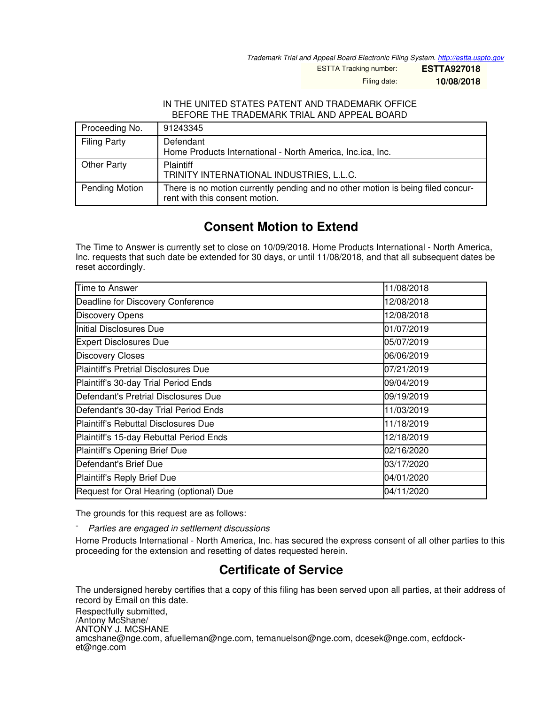*Trademark Trial and Appeal Board Electronic Filing System. <http://estta.uspto.gov>*

ESTTA Tracking number: **ESTTA927018**

Filing date: **10/08/2018**

## IN THE UNITED STATES PATENT AND TRADEMARK OFFICE BEFORE THE TRADEMARK TRIAL AND APPEAL BOARD

| Proceeding No.      | 91243345                                                                                                          |
|---------------------|-------------------------------------------------------------------------------------------------------------------|
| <b>Filing Party</b> | Defendant<br>Home Products International - North America, Inc.ica, Inc.                                           |
| Other Party         | <b>Plaintiff</b><br>TRINITY INTERNATIONAL INDUSTRIES, L.L.C.                                                      |
| Pending Motion      | There is no motion currently pending and no other motion is being filed concur-<br>rent with this consent motion. |

## **Consent Motion to Extend**

The Time to Answer is currently set to close on 10/09/2018. Home Products International - North America, Inc. requests that such date be extended for 30 days, or until 11/08/2018, and that all subsequent dates be reset accordingly.

| Time to Answer                              | 11/08/2018 |
|---------------------------------------------|------------|
| Deadline for Discovery Conference           | 12/08/2018 |
| <b>Discovery Opens</b>                      | 12/08/2018 |
| Initial Disclosures Due                     | 01/07/2019 |
| <b>Expert Disclosures Due</b>               | 05/07/2019 |
| <b>Discovery Closes</b>                     | 06/06/2019 |
| <b>Plaintiff's Pretrial Disclosures Due</b> | 07/21/2019 |
| Plaintiff's 30-day Trial Period Ends        | 09/04/2019 |
| Defendant's Pretrial Disclosures Due        | 09/19/2019 |
| Defendant's 30-day Trial Period Ends        | 11/03/2019 |
| Plaintiff's Rebuttal Disclosures Due        | 11/18/2019 |
| Plaintiff's 15-day Rebuttal Period Ends     | 12/18/2019 |
| Plaintiff's Opening Brief Due               | 02/16/2020 |
| Defendant's Brief Due                       | 03/17/2020 |
| Plaintiff's Reply Brief Due                 | 04/01/2020 |
| Request for Oral Hearing (optional) Due     | 04/11/2020 |

The grounds for this request are as follows:

- *Parties are engaged in settlement discussions*

Home Products International - North America, Inc. has secured the express consent of all other parties to this proceeding for the extension and resetting of dates requested herein.

## **Certificate of Service**

The undersigned hereby certifies that a copy of this filing has been served upon all parties, at their address of record by Email on this date.

Respectfully submitted, /Antony McShane/ ANTONY J. MCSHANE amcshane@nge.com, afuelleman@nge.com, temanuelson@nge.com, dcesek@nge.com, ecfdocket@nge.com